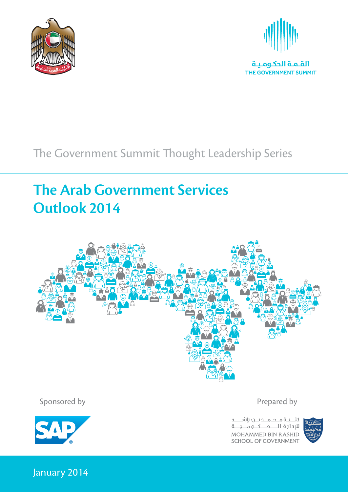



القمة الحكومية THE GOVERNMENT SUMMIT

### The Government Summit Thought Leadership Series

### **The Arab Government Services Outlook 2014**



Sponsored by Prepared by Prepared by Prepared by Prepared by Prepared by Prepared by Prepared by Prepared by  $P$ 



كلــــيــة مــــمـــــمــــدن راشــــــــد MOHAMMED BIN RASHID SCHOOL OF GOVERNMENT



January 2014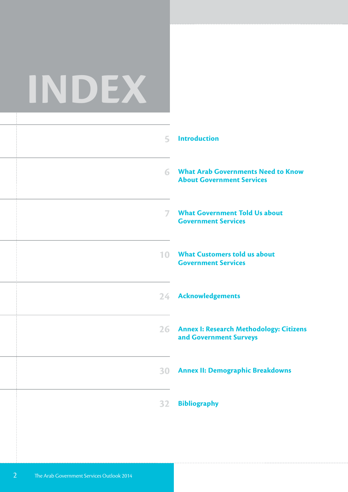# **INDEX**

| 5            | <b>Introduction</b>                                                           |
|--------------|-------------------------------------------------------------------------------|
| 6            | <b>What Arab Governments Need to Know</b><br><b>About Government Services</b> |
| $\mathcal T$ | <b>What Government Told Us about</b><br><b>Government Services</b>            |
|              | 10 What Customers told us about<br><b>Government Services</b>                 |
|              | 24 Acknowledgements                                                           |
|              | 26 Annex I: Research Methodology: Citizens<br>and Government Surveys          |
| 30           | <b>Annex II: Demographic Breakdowns</b>                                       |
| $32 -$       | <b>Bibliography</b>                                                           |
|              |                                                                               |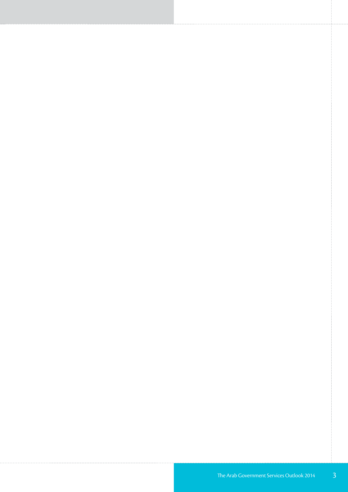The Arab Government Services Outlook 2014 3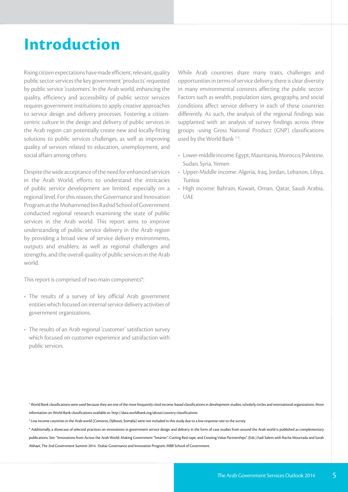### **Introduction**

Rising citizen expectations have made efficient, relevant, quality public sector services the key government 'products' requested by public service 'customers'. In the Arab world, enhancing the quality, efficiency and accessibility of public sector services requires government institutions to apply creative approaches to service design and delivery processes. Fostering a citizencentric culture in the design and delivery of public services in the Arab region can potentially create new and locally-fitting solutions to public services challenges, as well as improving quality of services related to education, unemployment, and social affairs among others.

Despite the wide acceptance of the need for enhanced services in the Arab World, efforts to understand the intricacies of public service development are limited, especially on a regional level. For this reason, the Governance and Innovation Program at the Mohammed bin Rashid School of Government conducted regional research examining the state of public services in the Arab world. This report aims to improve understanding of public service delivery in the Arab region by providing a broad view of service delivery environments, outputs and enablers; as well as regional challenges and strengths, and the overall quality of public services in the Arab world.

This report is comprised of two main components\*:

- The results of a survey of key official Arab government entities which focused on internal service delivery activities of government organizations.
- The results of an Arab regional 'customer' satisfaction survey which focused on customer experience and satisfaction with public services.

While Arab countries share many traits, challenges and opportunities in terms of service delivery, there is clear diversity in many environmental contexts affecting the public sector. Factors such as wealth, population sizes, geography, and social conditions affect service delivery in each of these countries differently. As such, the analysis of the regional findings was supplanted with an analysis of survey findings across three groups -using Gross National Product (GNP) classifications used by the World Bank<sup>1-2</sup>:

- Lower-middle income: Egypt, Mauritania, Morocco, Palestine, Sudan, Syria, Yemen
- Upper-Middle income: Algeria, Iraq, Jordan, Lebanon, Libya, Tunisia
- High income: Bahrain, Kuwait, Oman, Qatar, Saudi Arabia, UAE

<sup>1</sup> World Bank classifications were used because they are one of the most frequently cited income-based classifications in development studies, scholarly circles and international organizations. More information on World Bank classifications available at: http://data.worldbank.org/about/country-classifications

<sup>2</sup> Low income countries in the Arab world (Comoros, Djibouti, Somalia) were not included in this study due to a low response rate to the survey.

\* Additionally, a showcase of selected practices on innovations in government service design and delivery in the form of case studies from around the Arab world is published as complementary publications. See: "Innovations from Across the Arab World: Making Government "Smarter", Cutting Red-tape, and Creating Value Partnerships". (Eds.) Fadi Salem with Racha Mourtada and Sarah Alshaer, The 2nd Government Summit 2014. Dubai: Governance and Innovation Program, MBR School of Government.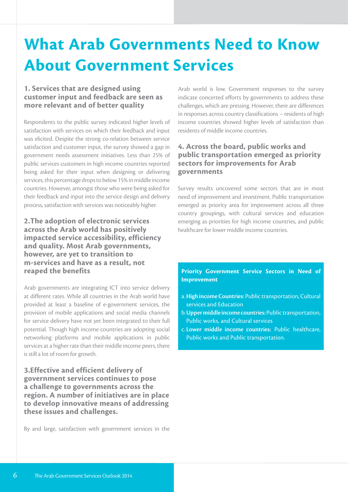# **What Arab Governments Need to Know About Government Services**

#### **1. Services that are designed using customer input and feedback are seen as more relevant and of better quality**

Respondents to the public survey indicated higher levels of satisfaction with services on which their feedback and input was elicited. Despite the strong co-relation between service satisfaction and customer input, the survey showed a gap in government needs assessment initiatives. Less than 25% of public services customers in high income countries reported being asked for their input when designing or delivering services, this percentage drops to below 15% in middle income countries. However, amongst those who were being asked for their feedback and input into the service design and delivery process, satisfaction with services was noticeably higher.

**2.The adoption of electronic services across the Arab world has positively impacted service accessibility, efficiency and quality. Most Arab governments, however, are yet to transition to m-services and have as a result, not reaped the benefits**

Arab governments are integrating ICT into service delivery at different rates. While all countries in the Arab world have provided at least a baseline of e-government services, the provision of mobile applications and social media channels for service delivery have not yet been integrated to their full potential. Though high income countries are adopting social networking platforms and mobile applications in public services at a higher rate than their middle income peers, there is still a lot of room for growth.

**3.Effective and efficient delivery of government services continues to pose a challenge to governments across the region. A number of initiatives are in place to develop innovative means of addressing these issues and challenges.**

By and large, satisfaction with government services in the

Arab world is low. Government responses to the survey indicate concerted efforts by governments to address these challenges, which are pressing. However, there are differences in responses across country classifications – residents of high income countries showed higher levels of satisfaction than residents of middle income countries.

#### **4. Across the board, public works and public transportation emerged as priority sectors for improvements for Arab governments**

Survey results uncovered some sectors that are in most need of improvement and investment. Public transportation emerged as priority area for improvement across all three country groupings, with cultural services and education emerging as priorities for high income countries, and public healthcare for lower middle income countries.

**Priority Government Service Sectors in Need of Improvement**

- a.**High income Countries:** Public transportation, Cultural services and Education
- b.**Upper middle income countries:** Public transportation, Public works, and Cultural services
- c. **Lower middle income countries:** Public healthcare, Public works and Public transportation.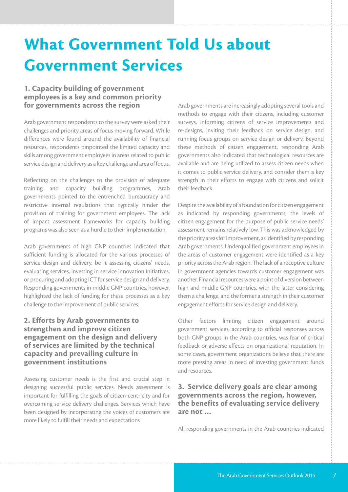# **What Government Told Us about Government Services**

#### **1. Capacity building of government employees is a key and common priority for governments across the region**

Arab government respondents to the survey were asked their challenges and priority areas of focus moving forward. While differences were found around the availability of financial resources, respondents pinpointed the limited capacity and skills among government employees in areas related to public service design and delivery as a key challenge and area of focus.

Reflecting on the challenges to the provision of adequate training and capacity building programmes, Arab governments pointed to the entrenched bureaucracy and restrictive internal regulations that typically hinder the provision of training for government employees. The lack of impact assessment frameworks for capacity building programs was also seen as a hurdle to their implementation.

Arab governments of high GNP countries indicated that sufficient funding is allocated for the various processes of service design and delivery, be it assessing citizens' needs, evaluating services, investing in service innovation initiatives, or procuring and adopting ICT for service design and delivery. Responding governments in middle GNP countries, however, highlighted the lack of funding for these processes as a key challenge to the improvement of public services.

#### **2. Efforts by Arab governments to strengthen and improve citizen engagement on the design and delivery of services are limited by the technical capacity and prevailing culture in government institutions**

Assessing customer needs is the first and crucial step in designing successful public services. Needs assessment is important for fulfilling the goals of citizen-centricity and for overcoming service delivery challenges. Services which have been designed by incorporating the voices of customers are more likely to fulfill their needs and expectations

Arab governments are increasingly adopting several tools and methods to engage with their citizens, including customer surveys, informing citizens of service improvements and re-designs, inviting their feedback on service design, and running focus groups on service design or delivery. Beyond these methods of citizen engagement, responding Arab governments also indicated that technological resources are available and are being utilized to assess citizen needs when it comes to public service delivery, and consider them a key strength in their efforts to engage with citizens and solicit their feedback.

Despite the availability of a foundation for citizen engagement as indicated by responding governments, the levels of citizen engagement for the purpose of public service needs' assessment remains relatively low. This was acknowledged by the priority areas for improvement, as identified by responding Arab governments. Underqualified government employees in the areas of customer engagement were identified as a key priority across the Arab region. The lack of a receptive culture in government agencies towards customer engagement was another. Financial resources were a point of diversion between high and middle GNP countries, with the latter considering them a challenge, and the former a strength in their customer engagement efforts for service design and delivery.

Other factors limiting citizen engagement around government services, according to official responses across both GNP groups in the Arab countries, was fear of critical feedback or adverse effects on organizational reputation. In some cases, government organizations believe that there are more pressing areas in need of investing government funds and resources.

#### **3. Service delivery goals are clear among governments across the region, however, the benefits of evaluating service delivery are not …**

All responding governments in the Arab countries indicated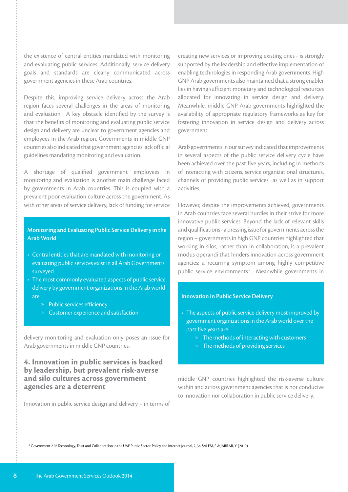the existence of central entities mandated with monitoring and evaluating public services. Additionally, service delivery goals and standards are clearly communicated across government agencies in these Arab countries.

Despite this, improving service delivery across the Arab region faces several challenges in the areas of monitoring and evaluation. A key obstacle identified by the survey is that the benefits of monitoring and evaluating public service design and delivery are unclear to government agencies and employees in the Arab region. Governments in middle GNP countries also indicated that government agencies lack official guidelines mandating monitoring and evaluation.

A shortage of qualified government employees in monitoring and evaluation is another main challenge faced by governments in Arab countries. This is coupled with a prevalent poor evaluation culture across the government. As with other areas of service delivery, lack of funding for service

#### **Monitoring and Evaluating Public Service Delivery in the Arab World**

- Central entities that are mandated with monitoring or evaluating public services exist in all Arab Governments surveyed
- The most commonly evaluated aspects of public service delivery by government organizations in the Arab world are:
	- » Public services efficiency
	- » Customer experience and satisfaction

delivery monitoring and evaluation only poses an issue for Arab governments in middle GNP countries.

#### **4. Innovation in public services is backed by leadership, but prevalent risk-averse and silo cultures across government agencies are a deterrent**

Innovation in public service design and delivery – in terms of

creating new services or improving existing ones - is strongly supported by the leadership and effective implementation of enabling technologies in responding Arab governments. High GNP Arab governments also maintained that a strong enabler lies in having sufficient monetary and technological resources allocated for innovating in service design and delivery. Meanwhile, middle GNP Arab governments highlighted the availability of appropriate regulatory frameworks as key for fostering innovation in service design and delivery across government.

Arab governments in our survey indicated that improvements in several aspects of the public service delivery cycle have been achieved over the past five years, including in methods of interacting with citizens, service organizational structures, channels of providing public services as well as in support activities.

However, despite the improvements achieved, governments in Arab countries face several hurdles in their strive for more innovative public services. Beyond the lack of relevant skills and qualifications - a pressing issue for governments across the region – governments in high GNP countries highlighted that working in silos, rather than in collaboration, is a prevalent modus operandi that hinders innovation across government agencies; a recurring symptom among highly competitive public service environments<sup>3</sup>. Meanwhile governments in

#### **Innovation in Public Service Delivery**

- The aspects of public service delivery most improved by government organizations in the Arab world over the past five years are:
	- » The methods of interacting with customers
	- » The methods of providing services

middle GNP countries highlighted the risk-averse culture within and across government agencies that is not conducive to innovation nor collaboration in public service delivery.

3 Government 2.0? Technology, Trust and Collaboration in the UAE Public Sector. Policy and Internet Journal, 2, 34. SALEM, F. & JARRAR, Y. (2010).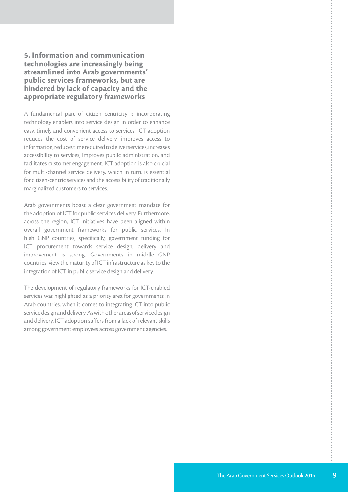#### **5. Information and communication technologies are increasingly being streamlined into Arab governments' public services frameworks, but are hindered by lack of capacity and the appropriate regulatory frameworks**

A fundamental part of citizen centricity is incorporating technology enablers into service design in order to enhance easy, timely and convenient access to services. ICT adoption reduces the cost of service delivery, improves access to information, reduces time required to deliver services, increases accessibility to services, improves public administration, and facilitates customer engagement. ICT adoption is also crucial for multi-channel service delivery, which in turn, is essential for citizen-centric services and the accessibility of traditionally marginalized customers to services.

Arab governments boast a clear government mandate for the adoption of ICT for public services delivery. Furthermore, across the region, ICT initiatives have been aligned within overall government frameworks for public services. In high GNP countries, specifically, government funding for ICT procurement towards service design, delivery and improvement is strong. Governments in middle GNP countries, view the maturity of ICT infrastructure as key to the integration of ICT in public service design and delivery.

The development of regulatory frameworks for ICT-enabled services was highlighted as a priority area for governments in Arab countries, when it comes to integrating ICT into public service design and delivery. As with other areas of service design and delivery, ICT adoption suffers from a lack of relevant skills among government employees across government agencies.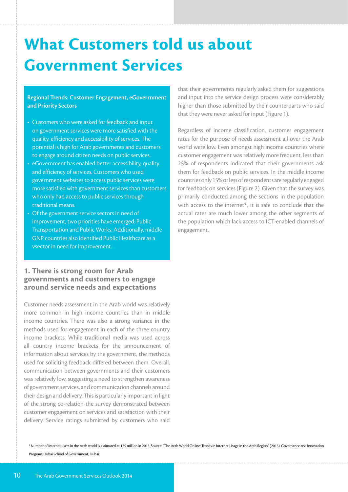# **What Customers told us about Government Services**

#### **Regional Trends: Customer Engagement, eGoverrnment and Priority Sectors**

- Customers who were asked for feedback and input on government services were more satisfied with the quality, efficiency and accessibility of services. The potential is high for Arab governments and customers to engage around citizen needs on public services.
- eGovernment has enabled better accessibility, quality and efficiency of services. Customers who used government websites to access public services were more satisfied with government services than customers who only had access to public services through traditional means.
- Of the government service sectors in need of improvement, two priorities have emerged: Public Transportation and Public Works. Additionally, middle GNP countries also identified Public Healthcare as a vsector in need for improvement.

#### **1. There is strong room for Arab governments and customers to engage around service needs and expectations**

Customer needs assessment in the Arab world was relatively more common in high income countries than in middle income countries. There was also a strong variance in the methods used for engagement in each of the three country income brackets. While traditional media was used across all country income brackets for the announcement of information about services by the government, the methods used for soliciting feedback differed between them. Overall, communication between governments and their customers was relatively low, suggesting a need to strengthen awareness of government services, and communication channels around their design and delivery. This is particularly important in light of the strong co-relation the survey demonstrated between customer engagement on services and satisfaction with their delivery. Service ratings submitted by customers who said that their governments regularly asked them for suggestions and input into the service design process were considerably higher than those submitted by their counterparts who said that they were never asked for input (Figure 1).

Regardless of income classification, customer engagement rates for the purpose of needs assessment all over the Arab world were low. Even amongst high income countries where customer engagement was relatively more frequent, less than 25% of respondents indicated that their governments ask them for feedback on public services. In the middle income countries only 15% or less of respondents are regularly engaged for feedback on services (Figure 2). Given that the survey was primarily conducted among the sections in the population with access to the internet<sup>4</sup>, it is safe to conclude that the actual rates are much lower among the other segments of the population which lack access to ICT-enabled channels of engagement.

4 Number of internet users in the Arab world is estimated at 125 million in 2013. Source: "The Arab World Online: Trends in Internet Usage in the Arab Region" (2013). Governance and Innovation Program. Dubai School of Government, Dubai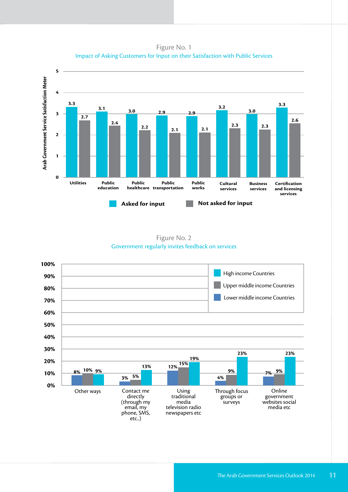Figure No. 1 Impact of Asking Customers for Input on their Satisfaction with Public Services



Figure No. 2 Government regularly invites feedback on services

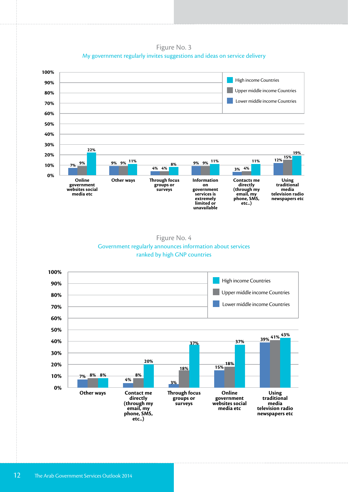Figure No. 3 My government regularly invites suggestions and ideas on service delivery



Figure No. 4 Government regularly announces information about services ranked by high GNP countries

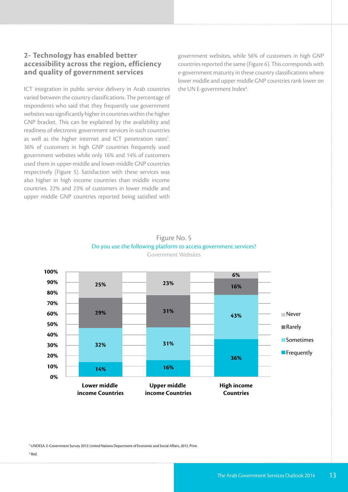#### **2- Technology has enabled better accessibility across the region, efficiency and quality of government services**

ICT integration in public service delivery in Arab countries varied between the country classifications. The percentage of respondents who said that they frequently use government websites was significantly higher in countries within the higher GNP bracket. This can be explained by the availability and readiness of electronic government services in such countries as well as the higher internet and ICT penetration rates<sup>5</sup>. 36% of customers in high GNP countries frequently used government websites while only 16% and 14% of customers used them in upper-middle and lower-middle GNP countries respectively (Figure 5). Satisfaction with these services was also higher in high income countries than middle income countries. 22% and 23% of customers in lower middle and upper middle GNP countries reported being satisfied with

government websites, while 56% of customers in high GNP countries reported the same (Figure 6). This corresponds with e-government maturity in these country classifications where lower middle and upper middle GNP countries rank lower on the UN E-government Index<sup>6</sup>. .

#### Figure No. 5 Do you use the following platform to access government services? Government Websites



5 UNDESA. E-Government Survey 2012: United Nations Department of Economic and Social Affairs, 2012. Print.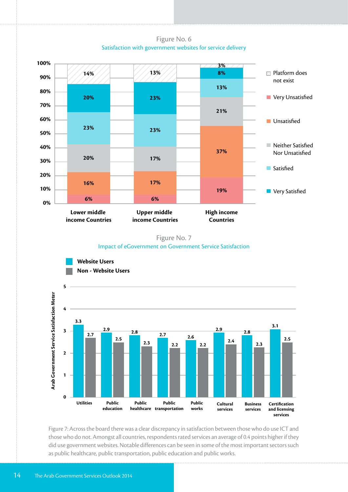Figure No. 6 Satisfaction with government websites for service delivery



#### Figure No. 7

Impact of eGovernment on Government Service Satisfaction



Figure 7: Across the board there was a clear discrepancy in satisfaction between those who do use ICT and those who do not. Amongst all countries, respondents rated services an average of 0.4 points higher if they did use government websites. Notable differences can be seen in some of the most important sectors such as public healthcare, public transportation, public education and public works.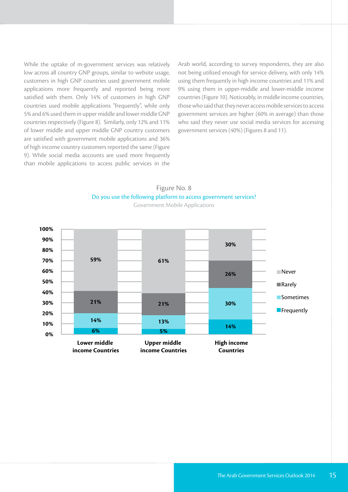While the uptake of m-government services was relatively low across all country GNP groups, similar to website usage, customers in high GNP countries used government mobile applications more frequently and reported being more satisfied with them. Only 14% of customers in high GNP countries used mobile applications "frequently", while only 5% and 6% used them in upper middle and lower middle GNP countries respectively (Figure 8). Similarly, only 12% and 11% of lower middle and upper middle GNP country customers are satisfied with government mobile applications and 36% of high income country customers reported the same (Figure 9). While social media accounts are used more frequently than mobile applications to access public services in the

Arab world, according to survey respondents, they are also not being utilized enough for service delivery, with only 14% using them frequently in high income countries and 11% and 9% using them in upper-middle and lower-middle income countries (Figure 10). Noticeably, in middle income countries, those who said that they never access mobile services to access government services are higher (60% in average) than those who said they never use social media services for accessing government services (40%) (Figures 8 and 11).



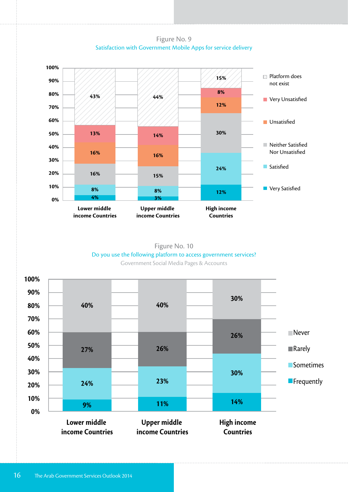Figure No. 9 Satisfaction with Government Mobile Apps for service delivery



Figure No. 10 Do you use the following platform to access government services? Government Social Media Pages & Accounts

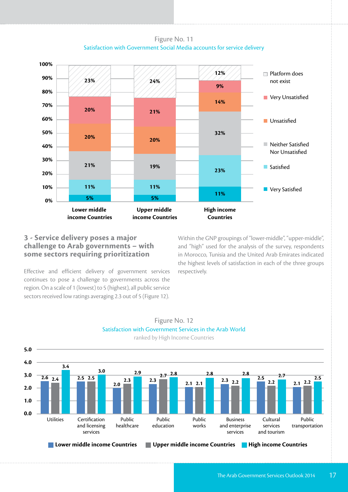Figure No. 11 Satisfaction with Government Social Media accounts for service delivery



#### **3 - Service delivery poses a major challenge to Arab governments – with some sectors requiring prioritization**

Effective and efficient delivery of government services continues to pose a challenge to governments across the region. On a scale of 1 (lowest) to 5 (highest), all public service sectors received low ratings averaging 2.3 out of 5 (Figure 12).

Within the GNP groupings of "lower-middle", "upper-middle", and "high" used for the analysis of the survey, respondents in Morocco, Tunisia and the United Arab Emirates indicated the highest levels of satisfaction in each of the three groups respectively.



#### Figure No. 12 Satisfaction with Government Services in the Arab World ranked by High Income Countries

**Lower middle income Countries Upper middle income Countries Lower middle income Countries**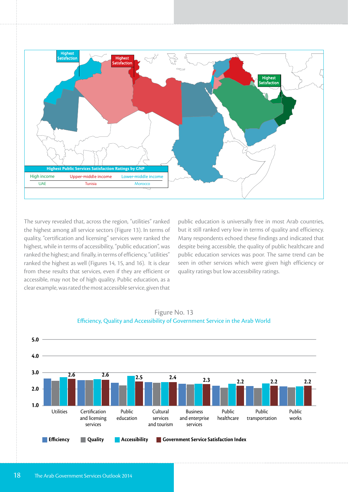

The survey revealed that, across the region, "utilities" ranked the highest among all service sectors (Figure 13). In terms of quality, "certification and licensing" services were ranked the highest, while in terms of accessibility, "public education", was ranked the highest; and finally, in terms of efficiency, "utilities" ranked the highest as well (Figures 14, 15, and 16). It is clear from these results that services, even if they are efficient or accessible, may not be of high quality. Public education, as a clear example, was rated the most accessible service, given that

public education is universally free in most Arab countries, but it still ranked very low in terms of quality and efficiency. Many respondents echoed these findings and indicated that despite being accessible, the quality of public healthcare and public education services was poor. The same trend can be seen in other services which were given high efficiency or quality ratings but low accessibility ratings.



#### Figure No. 13 Efficiency, Quality and Accessibility of Government Service in the Arab World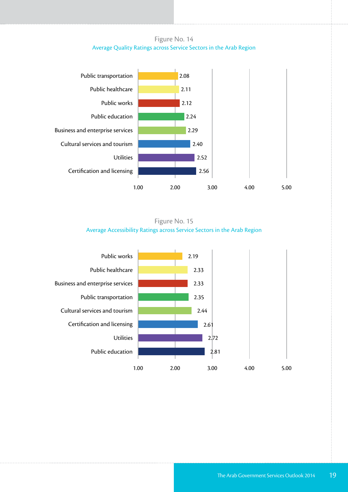Figure No. 14 Average Quality Ratings across Service Sectors in the Arab Region



Figure No. 15 Average Accessibility Ratings across Service Sectors in the Arab Region

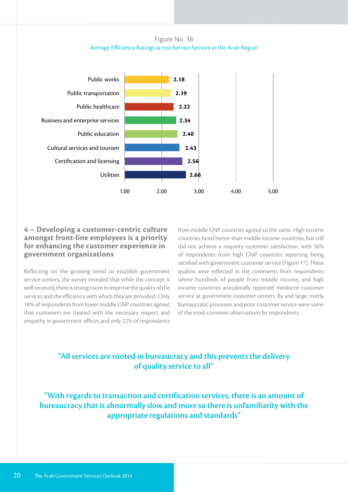Figure No. 16 Average Efficiency Ratings across Service Sectors in the Arab Region



#### **4 – Developing a customer-centric culture amongst front-line employees is a priority for enhancing the customer experience in government organizations**

Reflecting on the growing trend to establish government service centers, the survey revealed that while the concept is well received, there is strong room to improve the quality of the services and the efficiency with which they are provided. Only 18% of respondents from lower middle GNP countries agreed that customers are treated with the necessary respect and empathy in government offices and only 22% of respondents

from middle GNP countries agreed to the same. High income countries fared better than middle income countries, but still did not achieve a majority customer satisfaction, with 36% of respondents from high GNP countries reporting being satisfied with government customer service (Figure 17). These qualms were reflected in the comments from respondents where hundreds of people from middle income, and high income countries anecdotally reported mediocre customer service at government customer centers. By and large, overly bureaucratic processes and poor customer service were some of the most common observations by respondents.

#### **"All services are rooted in bureaucracy and this prevents the delivery of quality service to all"**

**"With regards to transaction and certification services, there is an amount of bureaucracy that is abnormally slow and more so there is unfamiliarity with the appropriate regulations and standards"**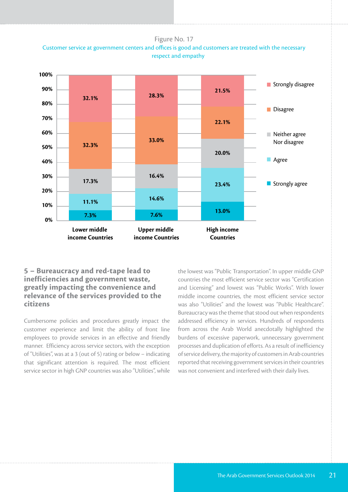Figure No. 17 Customer service at government centers and offices is good and customers are treated with the necessary respect and empathy



#### **5 – Bureaucracy and red-tape lead to inefficiencies and government waste, greatly impacting the convenience and relevance of the services provided to the citizens**

Cumbersome policies and procedures greatly impact the customer experience and limit the ability of front line employees to provide services in an effective and friendly manner. Efficiency across service sectors, with the exception of "Utilities", was at a 3 (out of 5) rating or below – indicating that significant attention is required. The most efficient service sector in high GNP countries was also "Utilities", while

the lowest was "Public Transportation". In upper middle GNP countries the most efficient service sector was "Certification and Licensing" and lowest was "Public Works". With lower middle income countries, the most efficient service sector was also "Utilities" and the lowest was "Public Healthcare". Bureaucracy was the theme that stood out when respondents addressed efficiency in services. Hundreds of respondents from across the Arab World anecdotally highlighted the burdens of excessive paperwork, unnecessary government processes and duplication of efforts. As a result of inefficiency of service delivery, the majority of customers in Arab countries reported that receiving government services in their countries was not convenient and interfered with their daily lives.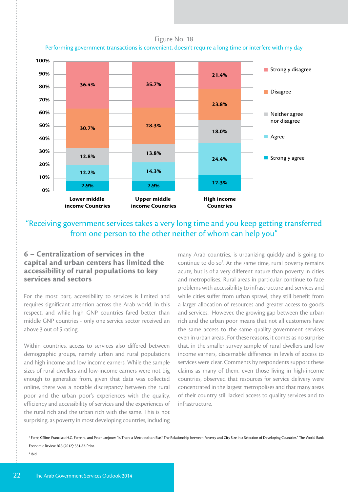Figure No. 18





#### "Receiving government services takes a very long time and you keep getting transferred from one person to the other neither of whom can help you"

#### **6 – Centralization of services in the capital and urban centers has limited the accessibility of rural populations to key services and sectors**

For the most part, accessibility to services is limited and requires significant attention across the Arab world. In this respect, and while high GNP countries fared better than middle GNP countries - only one service sector received an above 3 out of 5 rating.

Within countries, access to services also differed between demographic groups, namely urban and rural populations and high income and low income earners. While the sample sizes of rural dwellers and low-income earners were not big enough to generalize from, given that data was collected online, there was a notable discrepancy between the rural poor and the urban poor's experiences with the quality, efficiency and accessibility of services and the experiences of the rural rich and the urban rich with the same. This is not surprising, as poverty in most developing countries, including

many Arab countries, is urbanizing quickly and is going to continue to do so<sup>7</sup>. At the same time, rural poverty remains acute, but is of a very different nature than poverty in cities and metropolises. Rural areas in particular continue to face problems with accessibility to infrastructure and services and while cities suffer from urban sprawl, they still benefit from a larger allocation of resources and greater access to goods and services. However, the growing gap between the urban rich and the urban poor means that not all customers have the same access to the same quality government services even in urban areas . For these reasons, it comes as no surprise that, in the smaller survey sample of rural dwellers and low income earners, discernable difference in levels of access to services were clear. Comments by respondents support these claims as many of them, even those living in high-income countries, observed that resources for service delivery were concentrated in the largest metropolises and that many areas of their country still lacked access to quality services and to infrastructure.

<sup>7</sup> Ferré, Céline, Francisco H.G. Ferreira, and Peter Lanjouw. "Is There a Metropolitan Bias? The Relationship between Poverty and City Size in a Selection of Developing Countries." The World Bank Economic Review 26.3 (2012): 351-82. Print.

8 Ibid.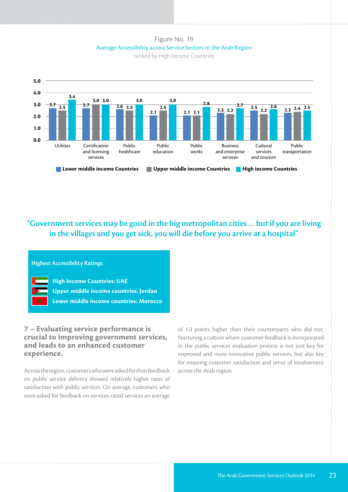Figure No. 19 Average Accessibility across Service Sectors in the Arab Region ranked by High Income Countries



**"Government services may be good in the big metropolitan cities … but if you are living in the villages and you get sick, you will die before you arrive at a hospital"**

### **Highest Accessibility Ratings High Income Countries: UAE Upper middle income countries: Jordan Lower middle income countries: Morocco**

#### **7 – Evaluating service performance is crucial to improving government services, and leads to an enhanced customer experience.**

Across the region, customers who were asked for their feedback on public service delivery showed relatively higher rates of satisfaction with public services. On average, customers who were asked for feedback on services rated services an average

of 1.0 points higher than their counterparts who did not. Nurturing a culture where customer feedback is incorporated in the public services evaluation process is not just key for improved and more innovative public services, but also key for ensuring customer satisfaction and sense of involvement across the Arab region.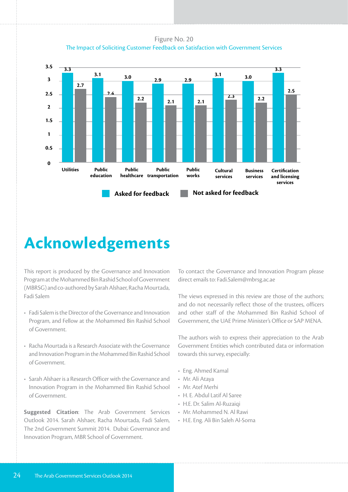Figure No. 20 The Impact of Soliciting Customer Feedback on Satisfaction with Government Services



### **Acknowledgements**

This report is produced by the Governance and Innovation Program at the Mohammed Bin Rashid School of Government (MBRSG) and co-authored by Sarah Alshaer, Racha Mourtada, Fadi Salem

- Fadi Salem is the Director of the Governance and Innovation Program, and Fellow at the Mohammed Bin Rashid School of Government.
- Racha Mourtada is a Research Associate with the Governance and Innovation Program in the Mohammed Bin Rashid School of Government.
- Sarah Alshaer is a Research Officer with the Governance and Innovation Program in the Mohammed Bin Rashid School of Government.

**Suggested Citation:** The Arab Government Services Outlook 2014. Sarah Alshaer, Racha Mourtada, Fadi Salem, The 2nd Government Summit 2014. Dubai: Governance and Innovation Program, MBR School of Government.

To contact the Governance and Innovation Program please direct emails to: Fadi.Salem@mbrsg.ac.ae

The views expressed in this review are those of the authors; and do not necessarily reflect those of the trustees, officers and other staff of the Mohammed Bin Rashid School of Government, the UAE Prime Minister's Office or SAP MENA.

The authors wish to express their appreciation to the Arab Government Entities which contributed data or information towards this survey, especially:

- Eng. Ahmed Kamal
- Mr. Ali Ataya
- Mr. Atef Merhi
- H. E. Abdul Latif Al Saree
- H.E. Dr. Salim Al-Ruzaiqi
- Mr. Mohammed N. Al Rawi
- H.E. Eng. Ali Bin Saleh Al-Soma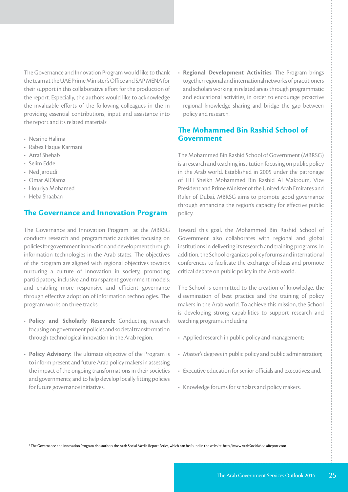The Governance and Innovation Program would like to thank the team at the UAE Prime Minister's Office and SAP MENA for their support in this collaborative effort for the production of the report. Especially, the authors would like to acknowledge the invaluable efforts of the following colleagues in the in providing essential contributions, input and assistance into the report and its related materials:

- Nesrine Halima
- Rabea Haque Karmani
- Atraf Shehab
- Selim Edde
- Ned Jaroudi
- Omar AlOlama
- Houriya Mohamed
- Heba Shaaban

#### **The Governance and Innovation Program**

The Governance and Innovation Program at the MBRSG conducts research and programmatic activities focusing on policies for government innovation and development through information technologies in the Arab states. The objectives of the program are aligned with regional objectives towards nurturing a culture of innovation in society, promoting participatory, inclusive and transparent government models; and enabling more responsive and efficient governance through effective adoption of information technologies. The program works on three tracks:

- **Policy and Scholarly Research**: Conducting research focusing on government policies and societal transformation through technological innovation in the Arab region.
- **Policy Advisory**: The ultimate objective of the Program is to inform present and future Arab policy makers in assessing the impact of the ongoing transformations in their societies and governments; and to help develop locally fitting policies for future governance initiatives.

• **Regional Development Activities**: The Program brings together regional and international networks of practitioners and scholars working in related areas through programmatic and educational activities, in order to encourage proactive regional knowledge sharing and bridge the gap between policy and research.

#### **The Mohammed Bin Rashid School of Government**

The Mohammed Bin Rashid School of Government (MBRSG) is a research and teaching institution focusing on public policy in the Arab world. Established in 2005 under the patronage of HH Sheikh Mohammed Bin Rashid Al Maktoum, Vice President and Prime Minister of the United Arab Emirates and Ruler of Dubai, MBRSG aims to promote good governance through enhancing the region's capacity for effective public policy.

Toward this goal, the Mohammed Bin Rashid School of Government also collaborates with regional and global institutions in delivering its research and training programs. In addition, the School organizes policy forums and international conferences to facilitate the exchange of ideas and promote critical debate on public policy in the Arab world.

The School is committed to the creation of knowledge, the dissemination of best practice and the training of policy makers in the Arab world. To achieve this mission, the School is developing strong capabilities to support research and teaching programs, including

- Applied research in public policy and management;
- Master's degrees in public policy and public administration;
- Executive education for senior officials and executives; and,
- Knowledge forums for scholars and policy makers.

1 The Governance and Innovation Program also authors the Arab Social Media Report Series, which can be found in the website: http://www.ArabSocialMediaReport.com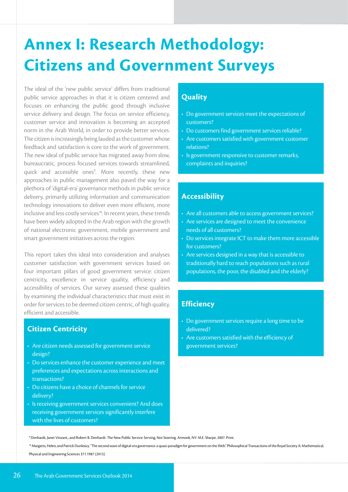# **Annex I: Research Methodology: Citizens and Government Surveys**

The ideal of the 'new public service' differs from traditional public service approaches in that it is citizen centered and focuses on enhancing the public good through inclusive service delivery and design. The focus on service efficiency, customer service and innovation is becoming an accepted norm in the Arab World, in order to provide better services. The citizen is increasingly being lauded as the customer whose feedback and satisfaction is core to the work of government. The new ideal of public service has migrated away from slow, bureaucratic, process focused services towards streamlined, quick and accessible ones<sup>9</sup>. More recently, these new approaches in public management also paved the way for a plethora of 'digital-era' governance methods in public service delivery, primarily utilizing information and communication technology innovations to deliver even more efficient, more inclusive and less costly services<sup>10</sup>. In recent years, these trends have been widely adopted in the Arab region with the growth of national electronic government, mobile government and smart government initiatives across the region.

This report takes this ideal into consideration and analyses customer satisfaction with government services based on four important pillars of good government service: citizen centricity, excellence in service quality, efficiency and accessibility of services. Our survey assessed these qualities by examining the individual characteristics that must exist in order for services to be deemed citizen centric, of high quality, efficient and accessible.

#### **Citizen Centricity**

- Are citizen needs assessed for government service design?
- Do services enhance the customer experience and meet preferences and expectations across interactions and transactions?
- Do citizens have a choice of channels for service delivery?
- Is receiving government services convenient? And does receiving government services significantly interfere with the lives of customers?

#### **Quality**

- Do government services meet the expectations of customers?
- Do customers find government services reliable?
- Are customers satisfied with government customer relations?
- Is government responsive to customer remarks, complaints and inquiries?

#### **Accessibility**

- Are all customers able to access government services?
- Are services are designed to meet the convenience needs of all customers?
- Do services integrate ICT to make them more accessible for customers?
- Are services designed in a way that is accessible to traditionally hard to reach populations such as rural populations, the poor, the disabled and the elderly?

#### **Efficiency**

- Do government services require a long time to be delivered?
- Are customers satisfied with the efficiency of government services?

9 Denhardt, Janet Vinzant., and Robert B. Denhardt. The New Public Service: Serving, Not Steering. Armonk, NY: M.E. Sharpe, 2007. Print.

<sup>10</sup> Margetts, Helen, and Patrick Dunleavy. "The second wave of digital-era governance: a quasi-paradigm for government on the Web." Philosophical Transactions of the Royal Society A: Mathematical, Physical and Engineering Sciences 371.1987 (2013).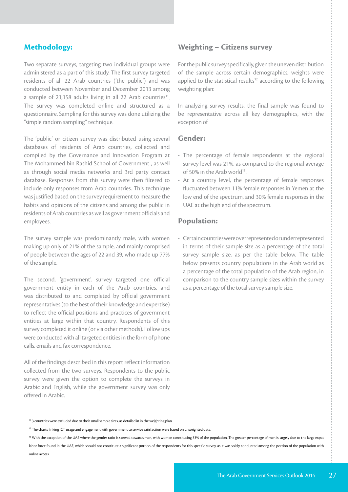#### **Methodology:**

Two separate surveys, targeting two individual groups were administered as a part of this study. The first survey targeted residents of all 22 Arab countries ('the public') and was conducted between November and December 2013 among a sample of 21,158 adults living in all 22 Arab countries<sup>11</sup>. The survey was completed online and structured as a questionnaire. Sampling for this survey was done utilizing the "simple random sampling" technique.

The 'public' or citizen survey was distributed using several databases of residents of Arab countries, collected and compiled by the Governance and Innovation Program at The Mohammed bin Rashid School of Government , as well as through social media networks and 3rd party contact database. Responses from this survey were then filtered to include only responses from Arab countries. This technique was justified based on the survey requirement to measure the habits and opinions of the citizens and among the public in residents of Arab countries as well as government officials and employees.

The survey sample was predominantly male, with women making up only of 21% of the sample, and mainly comprised of people between the ages of 22 and 39, who made up 77% of the sample.

The second, 'government', survey targeted one official government entity in each of the Arab countries, and was distributed to and completed by official government representatives (to the best of their knowledge and expertise) to reflect the official positions and practices of government entities at large within that country. Respondents of this survey completed it online (or via other methods). Follow ups were conducted with all targeted entities in the form of phone calls, emails and fax correspondence.

All of the findings described in this report reflect information collected from the two surveys. Respondents to the public survey were given the option to complete the surveys in Arabic and English, while the government survey was only offered in Arabic.

#### **Weighting – Citizens survey**

For the public survey specifically, given the uneven distribution of the sample across certain demographics, weights were applied to the statistical results<sup>12</sup> according to the following weighting plan:

In analyzing survey results, the final sample was found to be representative across all key demographics, with the exception of

#### **Gender:**

- The percentage of female respondents at the regional survey level was 21%, as compared to the regional average of 50% in the Arab world<sup>13</sup>.
- At a country level, the percentage of female responses fluctuated between 11% female responses in Yemen at the low end of the spectrum, and 30% female responses in the UAE at the high end of the spectrum.

#### **Population:**

• Certain countries were overrepresented or underrepresented in terms of their sample size as a percentage of the total survey sample size, as per the table below. The table below presents country populations in the Arab world as a percentage of the total population of the Arab region, in comparison to the country sample sizes within the survey as a percentage of the total survey sample size.

<sup>&</sup>lt;sup>11</sup> 3 countries were excluded due to their small sample sizes, as detailed in in the weighting plan

<sup>&</sup>lt;sup>12</sup> The charts linking ICT usage and engagement with government to service satisfaction were based on unweighted data.

<sup>&</sup>lt;sup>13</sup> With the exception of the UAE where the gender ratio is skewed towards men, with women constituting 33% of the population. The greater percentage of men is largely due to the large expat labor force found in the UAE, which should not constitute a significant portion of the respondents for this specific survey, as it was solely conducted among the portion of the population with online access.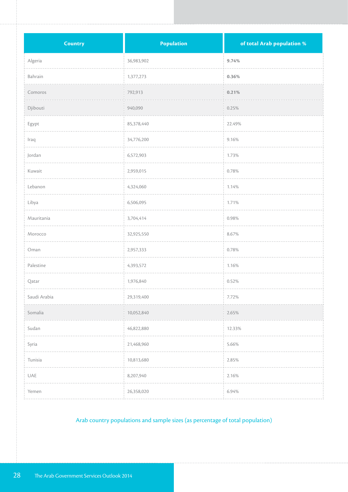| <b>Country</b> | <b>Population</b> | of total Arab population % |
|----------------|-------------------|----------------------------|
| Algeria        | 36,983,902        | 9.74%                      |
| Bahrain        | 1,377,273         | 0.36%                      |
| Comoros        | 792,913           | 0.21%                      |
| Djibouti       | 940,090           | 0.25%                      |
| Egypt          | 85,378,440        | 22.49%                     |
| Iraq           | 34,776,200        | 9.16%                      |
| Jordan         | 6,572,903         | 1.73%                      |
| Kuwait         | 2,959,015         | 0.78%                      |
| Lebanon        | 4,324,060         | 1.14%                      |
| Libya          | 6,506,095         | 1.71%                      |
| Mauritania     | 3,704,414         | 0.98%                      |
| Morocco        | 32,925,550        | 8.67%                      |
| Oman           | 2,957,333         | 0.78%                      |
| Palestine      | 4,393,572         | 1.16%                      |
| Qatar          | 1,976,840         | 0.52%                      |
| Saudi Arabia   | 29,319,400        | 7.72%                      |
| Somalia        | 10,052,840        | 2.65%                      |
| Sudan          | 46,822,880        | 12.33%                     |
| Syria          | 21,468,960        | 5.66%                      |
| Tunisia        | 10,813,680        | 2.85%                      |
| UAE            | 8,207,940         | 2.16%                      |
| Yemen          | 26,358,020        | 6.94%                      |

#### Arab country populations and sample sizes (as percentage of total population)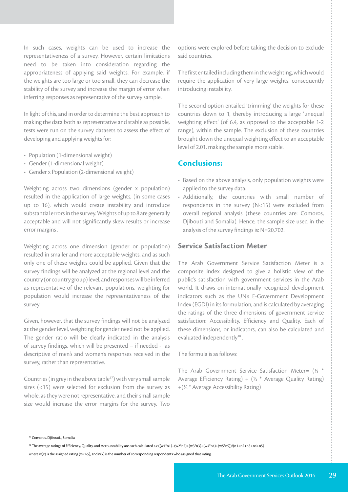In such cases, weights can be used to increase the representativeness of a survey. However, certain limitations need to be taken into consideration regarding the appropriateness of applying said weights. For example, if the weights are too large or too small, they can decrease the stability of the survey and increase the margin of error when inferring responses as representative of the survey sample.

In light of this, and in order to determine the best approach to making the data both as representative and stable as possible, tests were run on the survey datasets to assess the effect of developing and applying weights for:

- Population (1-dimensional weight)
- Gender (1-dimensional weight)
- Gender x Population (2-dimensional weight)

Weighting across two dimensions (gender x population) resulted in the application of large weights, (in some cases up to 16), which would create instability and introduce substantial errors in the survey. Weights of up to 8 are generally acceptable and will not significantly skew results or increase error margins .

Weighting across one dimension (gender or population) resulted in smaller and more acceptable weights, and as such only one of these weights could be applied. Given that the survey findings will be analyzed at the regional level and the country (or country group) level, and responses will be inferred as representative of the relevant populations, weighting for population would increase the representativeness of the survey.

Given, however, that the survey findings will not be analyzed at the gender level, weighting for gender need not be applied. The gender ratio will be clearly indicated in the analysis of survey findings, which will be presented – if needed - as descriptive of men's and women's responses received in the survey, rather than representative.

Countries (in grey in the above table17) with very small sample sizes (<15) were selected for exclusion from the survey as whole, as they were not representative, and their small sample size would increase the error margins for the survey. Two options were explored before taking the decision to exclude said countries.

The first entailed including them in the weighting, which would require the application of very large weights, consequently introducing instability.

The second option entailed 'trimming' the weights for these countries down to 1, thereby introducing a large 'unequal weighting effect' (of 6.4, as opposed to the acceptable 1-2 range), within the sample. The exclusion of these countries brought down the unequal weighting effect to an acceptable level of 2.01, making the sample more stable.

#### **Conclusions:**

- Based on the above analysis, only population weights were applied to the survey data.
- Additionally, the countries with small number of respondents in the survey (N<15) were excluded from overall regional analysis (these countries are: Comoros, Djibouti and Somalia). Hence, the sample size used in the analysis of the survey findings is: N=20,702.

#### **Service Satisfaction Meter**

The Arab Government Service Satisfaction Meter is a composite index designed to give a holistic view of the public's satisfaction with government services in the Arab world. It draws on internationally recognized development indicators such as the UN's E-Government Development Index (EGDI) in its formulation, and is calculated by averaging the ratings of the three dimensions of government service satisfaction: Accessibility, Efficiency and Quality. Each of these dimensions, or indicators, can also be calculated and evaluated independently<sup>18</sup>.

The formula is as follows:

The Arab Government Service Satisfaction Meter= (⅓ \* Average Efficiency Rating) + (⅓ \* Average Quality Rating) +(⅓ \* Average Accessibility Rating)

<sup>17</sup> Comoros, Djibouti, , Somalia

<sup>18</sup> The average ratings of Efficiency, Quality, and Accountability are each calculated as: ((w1\*n1)+(w2\*n2)+(w3\*n3)+(w4\*n4)+(w5\*n5))/(n1+n2+n3+n4+n5)

where w(x) is the assigned rating (x=1-5), and  $n(x)$  is the number of corresponding respondents who assigned that rating.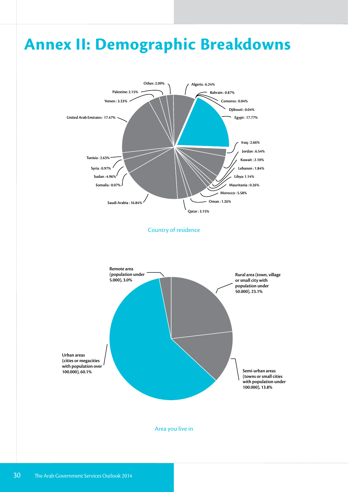### **Annex II: Demographic Breakdowns**

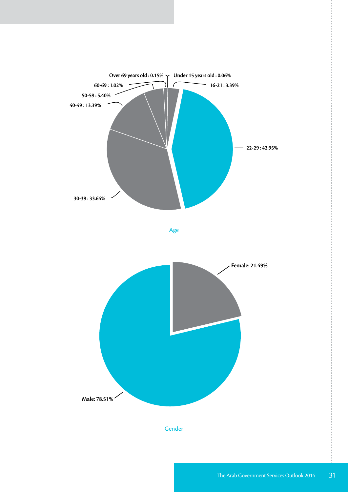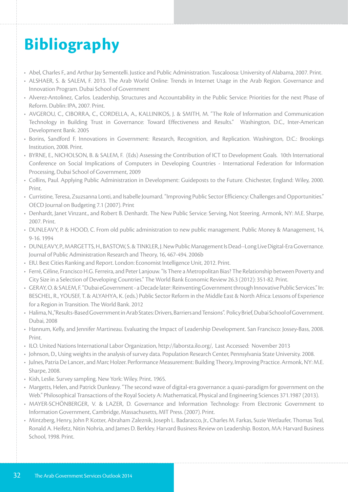# **Bibliography**

- Abel, Charles F., and Arthur Jay Sementelli. Justice and Public Administration. Tuscaloosa: University of Alabama, 2007. Print.
- ALSHAER, S. & SALEM, F. 2013. The Arab World Online: Trends in Internet Usage in the Arab Region. Governance and Innovation Program. Dubai School of Government
- Alverez-Antolinez, Carlos. Leadership, Structures and Accountability in the Public Service: Priorities for the next Phase of Reform. Dublin: IPA, 2007. Print.
- AVGEROU, C., CIBORRA, C., CORDELLA, A., KALLINIKOS, J. & SMITH, M. "The Role of Information and Communication Technology in Building Trust in Governance: Toward Effectiveness and Results." Washington, D.C., Inter-American Development Bank. 2005
- Borins, Sandford F. Innovations in Government: Research, Recognition, and Replication. Washington, D.C.: Brookings Institution, 2008. Print.
- BYRNE, E., NICHOLSON, B. & SALEM, F. (Eds) Assessing the Contribution of ICT to Development Goals. 10th International Conference on Social Implications of Computers in Developing Countries - International Federation for Information Processing, Dubai School of Government, 2009
- Collins, Paul. Applying Public Administration in Development: Guideposts to the Future. Chichester, England: Wiley, 2000. Print.
- Curristine, Teresa, Zsuzsanna Lonti, and Isabelle Joumard. "Improving Public Sector Efficiency: Challenges and Opportunities." OECD Journal on Budgeting 7.1 (2007). Print
- Denhardt, Janet Vinzant., and Robert B. Denhardt. The New Public Service: Serving, Not Steering. Armonk, NY: M.E. Sharpe, 2007. Print.
- DUNLEAVY, P. & HOOD, C. From old public administration to new public management. Public Money & Management, 14, 9-16. 1994
- DUNLEAVY, P., MARGETTS, H., BASTOW, S. & TINKLER, J. New Public Management Is Dead--Long Live Digital-Era Governance. Journal of Public Administration Research and Theory, 16, 467-494. 2006b
- EIU. Best Cities Ranking and Report. London: Economist Intelligence Unit, 2012. Print.
- Ferré, Céline, Francisco H.G. Ferreira, and Peter Lanjouw. "Is There a Metropolitan Bias? The Relationship between Poverty and City Size in a Selection of Developing Countries." The World Bank Economic Review 26.3 (2012): 351-82. Print.
- GERAY, O. & SALEM, F. "Dubai eGovernment a Decade later: Reinventing Government through Innovative Public Services." In: BESCHEL, R., YOUSEF, T. & ALYAHYA, K. (eds.) Public Sector Reform in the Middle East & North Africa: Lessons of Experience for a Region in Transition. The World Bank. 2012
- Halima, N.,"Results-Based Government in Arab States: Drivers, Barriers and Tensions". Policy Brief, Dubai School of Government. Dubai, 2008
- Hannum, Kelly, and Jennifer Martineau. Evaluating the Impact of Leadership Development. San Francisco: Jossey-Bass, 2008. Print.
- ILO. United Nations International Labor Organization, http://laborsta.ilo.org/, Last Accessed: November 2013
- Johnson, D., Using weights in the analysis of survey data. Population Research Center, Pennsylvania State University. 2008.
- Julnes, Patria De Lancer., and Marc Holzer. Performance Measurement: Building Theory, Improving Practice. Armonk, NY: M.E. Sharpe, 2008.
- Kish, Leslie. Survey sampling. New York: Wiley. Print. 1965.
- Margetts, Helen, and Patrick Dunleavy. "The second wave of digital-era governance: a quasi-paradigm for government on the Web." Philosophical Transactions of the Royal Society A: Mathematical, Physical and Engineering Sciences 371.1987 (2013).
- MAYER-SCHÖNBERGER, V. & LAZER, D. Governance and Information Technology: From Electronic Government to Information Government, Cambridge, Massachusetts, MIT Press. (2007). Print.
- Mintzberg, Henry, John P. Kotter, Abraham Zaleznik, Joseph L. Badaracco, Jr., Charles M. Farkas, Suzie Wetlaufer, Thomas Teal, Ronald A. Heifetz, Nitin Nohria, and James D. Berkley. Harvard Business Review on Leadership. Boston, MA: Harvard Business School, 1998. Print.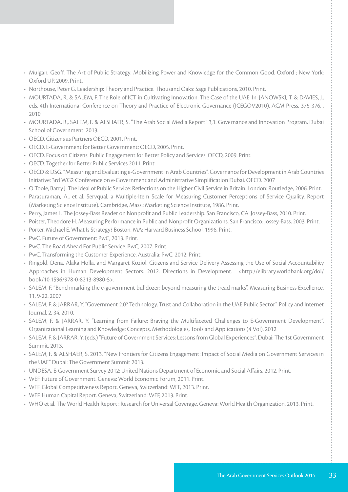- Mulgan, Geoff. The Art of Public Strategy: Mobilizing Power and Knowledge for the Common Good. Oxford ; New York: Oxford UP, 2009. Print.
- Northouse, Peter G. Leadership: Theory and Practice. Thousand Oaks: Sage Publications, 2010. Print.
- MOURTADA, R. & SALEM, F. The Role of ICT in Cultivating Innovation: The Case of the UAE. In: JANOWSKI, T. & DAVIES, J., eds. 4th International Conference on Theory and Practice of Electronic Governance (ICEGOV2010). ACM Press, 375-376. , 2010
- MOURTADA, R., SALEM, F. & ALSHAER, S. "The Arab Social Media Report" 3,1. Governance and Innovation Program, Dubai School of Government. 2013.
- OECD. Citizens as Partners OECD, 2001. Print.
- OECD. E-Government for Better Government: OECD, 2005. Print.
- OECD. Focus on Citizens: Public Engagement for Better Policy and Services: OECD, 2009. Print.
- OECD. Together for Better Public Services 2011. Print.
- OECD & DSG. "Measuring and Evaluating e-Government in Arab Countries". Governance for Development in Arab Countries Initiative: 3rd WG2 Conference on e-Government and Administrative Simplification Dubai. OECD. 2007
- O'Toole, Barry J. The Ideal of Public Service: Reflections on the Higher Civil Service in Britain. London: Routledge, 2006. Print.
- Parasuraman, A., et al. Servqual, a Multiple-Item Scale for Measuring Customer Perceptions of Service Quality. Report (Marketing Science Institute). Cambridge, Mass.: Marketing Science Institute, 1986. Print.
- Perry, James L. The Jossey-Bass Reader on Nonprofit and Public Leadership. San Francisco, CA: Jossey-Bass, 2010. Print.
- Poister, Theodore H. Measuring Performance in Public and Nonprofit Organizations. San Francisco: Jossey-Bass, 2003. Print.
- Porter, Michael E. What Is Strategy? Boston, MA: Harvard Business School, 1996. Print.
- PwC. Future of Government: PwC, 2013. Print.
- PwC. The Road Ahead For Public Service: PwC, 2007. Print.
- PwC. Transforming the Customer Experience. Australia: PwC, 2012. Print.
- Ringold, Dena, Alaka Holla, and Margaret Koziol. Citizens and Service Delivery Assessing the Use of Social Accountability Approaches in Human Development Sectors. 2012. Directions in Development. <http://elibrary.worldbank.org/doi/ book/10.1596/978-0-8213-8980-5>.
- SALEM, F. "Benchmarking the e-government bulldozer: beyond measuring the tread marks". Measuring Business Excellence, 11, 9-22. 2007
- SALEM, F. & JARRAR, Y. "Government 2.0? Technology, Trust and Collaboration in the UAE Public Sector". Policy and Internet Journal, 2, 34. 2010.
- SALEM, F. & JARRAR, Y. "Learning from Failure: Braving the Multifaceted Challenges to E-Government Development". Organizational Learning and Knowledge: Concepts, Methodologies, Tools and Applications (4 Vol). 2012
- SALEM, F. & JARRAR, Y. (eds.) "Future of Government Services: Lessons from Global Experiences", Dubai: The 1st Government Summit. 2013.
- SALEM, F. & ALSHAER, S. 2013. "New Frontiers for Citizens Engagement: Impact of Social Media on Government Services in the UAE" Dubai: The Government Summit 2013.
- UNDESA. E-Government Survey 2012: United Nations Department of Economic and Social Affairs, 2012. Print.
- WEF. Future of Government. Geneva: World Economic Forum, 2011. Print.
- WEF. Global Competitiveness Report. Geneva, Switzerland: WEF, 2013. Print.
- WEF. Human Capital Report. Geneva, Switzerland: WEF, 2013. Print.
- WHO et al. The World Health Report : Research for Universal Coverage. Geneva: World Health Organization, 2013. Print.